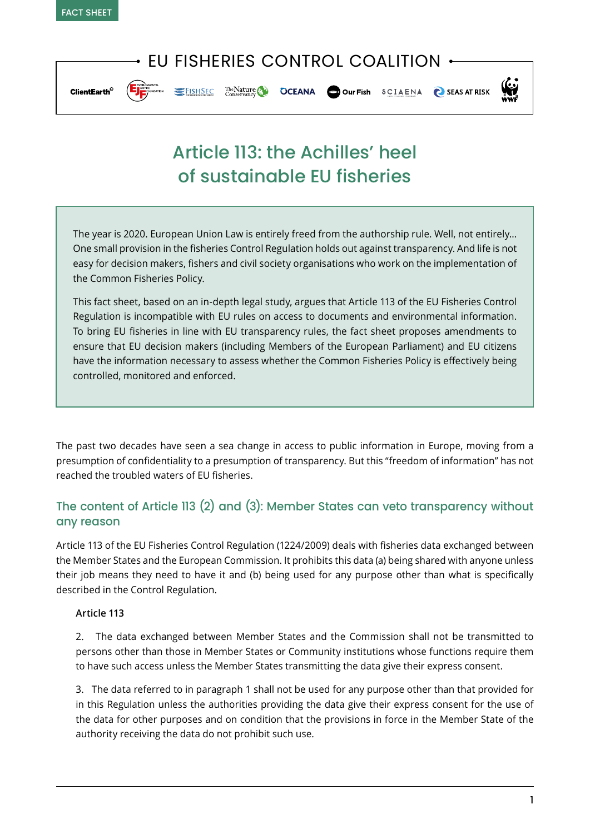## EU FISHERIES CONTROL COALITION



ELISHSEC The Nature Conservance OCEANA OUT Fish SCIAENA SEASAT RISK



# Article 113: the Achilles' heel of sustainable EU fisheries

The year is 2020. European Union Law is entirely freed from the authorship rule. Well, not entirely… One small provision in the fisheries Control Regulation holds out against transparency. And life is not easy for decision makers, fishers and civil society organisations who work on the implementation of the Common Fisheries Policy.

This fact sheet, based on an in-depth legal study, argues that Article 113 of the EU Fisheries Control Regulation is incompatible with EU rules on access to documents and environmental information. To bring EU fisheries in line with EU transparency rules, the fact sheet proposes amendments to ensure that EU decision makers (including Members of the European Parliament) and EU citizens have the information necessary to assess whether the Common Fisheries Policy is effectively being controlled, monitored and enforced.

The past two decades have seen a sea change in access to public information in Europe, moving from a presumption of confidentiality to a presumption of transparency. But this "freedom of information" has not reached the troubled waters of EU fisheries.

## The content of Article 113 (2) and (3): Member States can veto transparency without any reason

Article 113 of the EU Fisheries Control Regulation (1224/2009) deals with fisheries data exchanged between the Member States and the European Commission. It prohibits this data (a) being shared with anyone unless their job means they need to have it and (b) being used for any purpose other than what is specifically described in the Control Regulation.

#### **Article 113**

2. The data exchanged between Member States and the Commission shall not be transmitted to persons other than those in Member States or Community institutions whose functions require them to have such access unless the Member States transmitting the data give their express consent.

3. The data referred to in paragraph 1 shall not be used for any purpose other than that provided for in this Regulation unless the authorities providing the data give their express consent for the use of the data for other purposes and on condition that the provisions in force in the Member State of the authority receiving the data do not prohibit such use.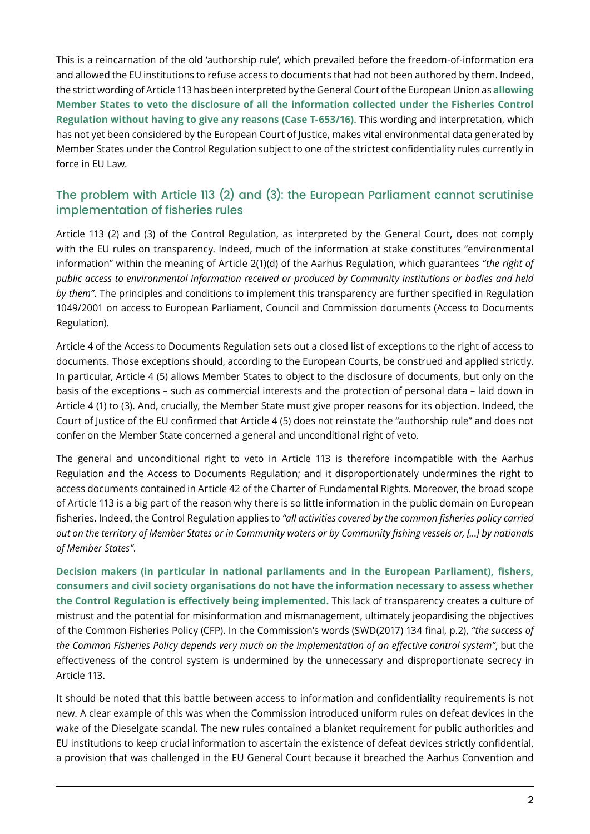This is a reincarnation of the old 'authorship rule', which prevailed before the freedom-of-information era and allowed the EU institutions to refuse access to documents that had not been authored by them. Indeed, the strict wording of Article 113 has been interpreted by the General Court of the European Union as **allowing Member States to veto the disclosure of all the information collected under the Fisheries Control Regulation without having to give any reasons (Case T-653/16)**. This wording and interpretation, which has not yet been considered by the European Court of Justice, makes vital environmental data generated by Member States under the Control Regulation subject to one of the strictest confidentiality rules currently in force in EU Law.

### The problem with Article 113 (2) and (3): the European Parliament cannot scrutinise implementation of fisheries rules

Article 113 (2) and (3) of the Control Regulation, as interpreted by the General Court, does not comply with the EU rules on transparency. Indeed, much of the information at stake constitutes "environmental information" within the meaning of Article 2(1)(d) of the Aarhus Regulation, which guarantees *"the right of public access to environmental information received or produced by Community institutions or bodies and held by them"*. The principles and conditions to implement this transparency are further specified in Regulation 1049/2001 on access to European Parliament, Council and Commission documents (Access to Documents Regulation).

Article 4 of the Access to Documents Regulation sets out a closed list of exceptions to the right of access to documents. Those exceptions should, according to the European Courts, be construed and applied strictly. In particular, Article 4 (5) allows Member States to object to the disclosure of documents, but only on the basis of the exceptions – such as commercial interests and the protection of personal data – laid down in Article 4 (1) to (3). And, crucially, the Member State must give proper reasons for its objection. Indeed, the Court of Justice of the EU confirmed that Article 4 (5) does not reinstate the "authorship rule" and does not confer on the Member State concerned a general and unconditional right of veto.

The general and unconditional right to veto in Article 113 is therefore incompatible with the Aarhus Regulation and the Access to Documents Regulation; and it disproportionately undermines the right to access documents contained in Article 42 of the Charter of Fundamental Rights. Moreover, the broad scope of Article 113 is a big part of the reason why there is so little information in the public domain on European fisheries. Indeed, the Control Regulation applies to *"all activities covered by the common fisheries policy carried out on the territory of Member States or in Community waters or by Community fishing vessels or, […] by nationals of Member States"*.

**Decision makers (in particular in national parliaments and in the European Parliament), fishers, consumers and civil society organisations do not have the information necessary to assess whether the Control Regulation is effectively being implemented.** This lack of transparency creates a culture of mistrust and the potential for misinformation and mismanagement, ultimately jeopardising the objectives of the Common Fisheries Policy (CFP). In the Commission's words (SWD(2017) 134 final, p.2), *"the success of the Common Fisheries Policy depends very much on the implementation of an effective control system"*, but the effectiveness of the control system is undermined by the unnecessary and disproportionate secrecy in Article 113.

It should be noted that this battle between access to information and confidentiality requirements is not new. A clear example of this was when the Commission introduced uniform rules on defeat devices in the wake of the Dieselgate scandal. The new rules contained a blanket requirement for public authorities and EU institutions to keep crucial information to ascertain the existence of defeat devices strictly confidential, a provision that was challenged in the EU General Court because it breached the Aarhus Convention and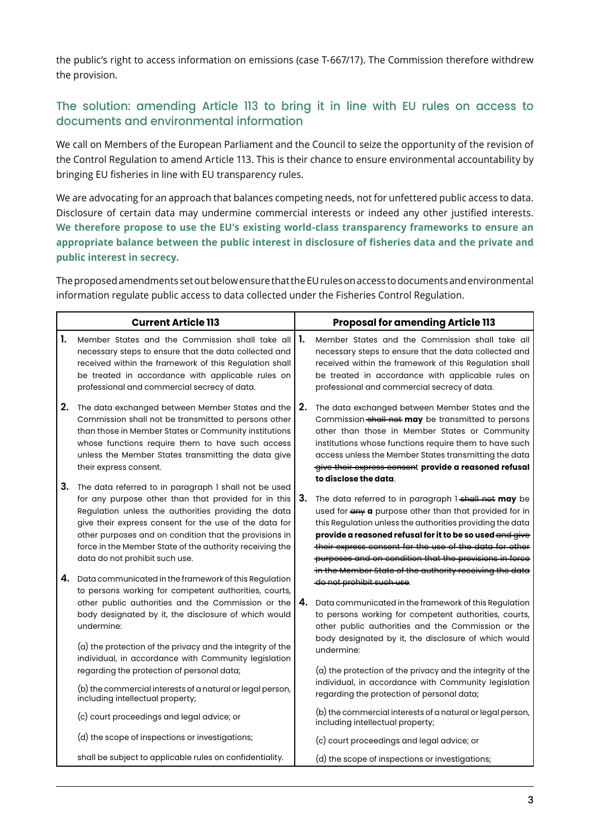the public's right to access information on emissions (case T-667/17). The Commission therefore withdrew the provision.

#### The solution: amending Article 113 to bring it in line with EU rules on access to documents and environmental information

We call on Members of the European Parliament and the Council to seize the opportunity of the revision of the Control Regulation to amend Article 113. This is their chance to ensure environmental accountability by bringing EU fisheries in line with EU transparency rules.

We are advocating for an approach that balances competing needs, not for unfettered public access to data. Disclosure of certain data may undermine commercial interests or indeed any other justified interests. **We therefore propose to use the EU's existing world-class transparency frameworks to ensure an appropriate balance between the public interest in disclosure of fisheries data and the private and public interest in secrecy.**

The proposed amendments set out below ensure that the EU rules on access to documents and environmental information regulate public access to data collected under the Fisheries Control Regulation.

|    | <b>Current Article 113</b>                                                                                                                                                                                                                                                                                                                                                              |    | <b>Proposal for amending Article 113</b>                                                                                                                                                                                                                                                                                                                                                                                |
|----|-----------------------------------------------------------------------------------------------------------------------------------------------------------------------------------------------------------------------------------------------------------------------------------------------------------------------------------------------------------------------------------------|----|-------------------------------------------------------------------------------------------------------------------------------------------------------------------------------------------------------------------------------------------------------------------------------------------------------------------------------------------------------------------------------------------------------------------------|
| 1. | Member States and the Commission shall take all<br>necessary steps to ensure that the data collected and<br>received within the framework of this Regulation shall<br>be treated in accordance with applicable rules on<br>professional and commercial secrecy of data.                                                                                                                 | 1. | Member States and the Commission shall take all<br>necessary steps to ensure that the data collected and<br>received within the framework of this Regulation shall<br>be treated in accordance with applicable rules on<br>professional and commercial secrecy of data.                                                                                                                                                 |
| 2. | The data exchanged between Member States and the<br>Commission shall not be transmitted to persons other<br>than those in Member States or Community institutions<br>whose functions require them to have such access<br>unless the Member States transmitting the data give<br>their express consent.                                                                                  | 2. | The data exchanged between Member States and the<br>Commission shall not may be transmitted to persons<br>other than those in Member States or Community<br>institutions whose functions require them to have such<br>access unless the Member States transmitting the data<br>give their express consent provide a reasoned refusal<br>to disclose the data.                                                           |
| 3. | The data referred to in paragraph I shall not be used<br>for any purpose other than that provided for in this<br>Regulation unless the authorities providing the data<br>give their express consent for the use of the data for<br>other purposes and on condition that the provisions in<br>force in the Member State of the authority receiving the<br>data do not prohibit such use. | 3. | The data referred to in paragraph 1 shall not may be<br>used for any a purpose other than that provided for in<br>this Regulation unless the authorities providing the data<br>provide a reasoned refusal for it to be so used and give<br>their express consent for the use of the data for other<br>purposes and on condition that the provisions in force<br>in the Member State of the authority receiving the data |
| 4. | Data communicated in the framework of this Regulation<br>to persons working for competent authorities, courts,<br>other public authorities and the Commission or the<br>body designated by it, the disclosure of which would<br>undermine:<br>(a) the protection of the privacy and the integrity of the<br>individual, in accordance with Community legislation                        | 4. | do not prohibit such use.<br>Data communicated in the framework of this Regulation<br>to persons working for competent authorities, courts,<br>other public authorities and the Commission or the<br>body designated by it, the disclosure of which would<br>undermine:                                                                                                                                                 |
|    | regarding the protection of personal data;<br>(b) the commercial interests of a natural or legal person,<br>including intellectual property;                                                                                                                                                                                                                                            |    | (a) the protection of the privacy and the integrity of the<br>individual, in accordance with Community legislation<br>regarding the protection of personal data;<br>(b) the commercial interests of a natural or legal person,                                                                                                                                                                                          |
|    | (c) court proceedings and legal advice; or<br>(d) the scope of inspections or investigations;                                                                                                                                                                                                                                                                                           |    | including intellectual property;                                                                                                                                                                                                                                                                                                                                                                                        |
|    |                                                                                                                                                                                                                                                                                                                                                                                         |    | (c) court proceedings and legal advice; or                                                                                                                                                                                                                                                                                                                                                                              |
|    | shall be subject to applicable rules on confidentiality.                                                                                                                                                                                                                                                                                                                                |    | (d) the scope of inspections or investigations;                                                                                                                                                                                                                                                                                                                                                                         |